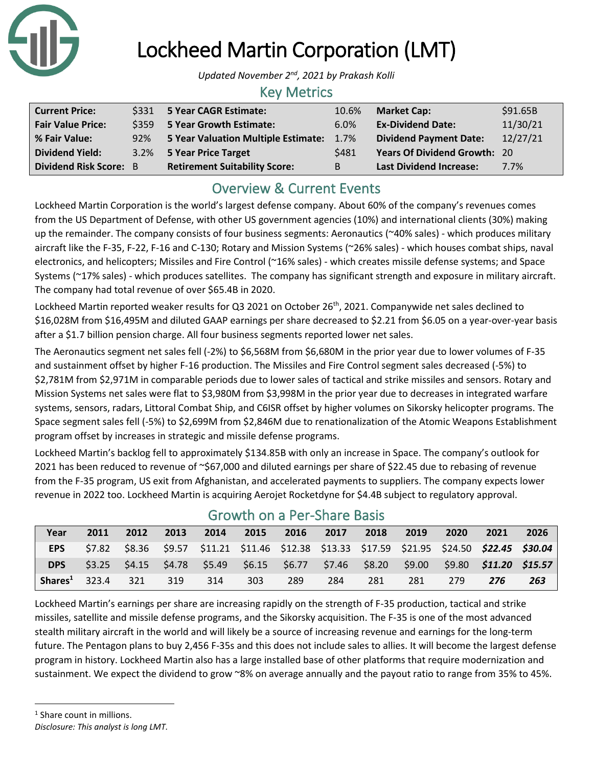

# Lockheed Martin Corporation (LMT)

*Updated November 2nd, 2021 by Prakash Kolli*

### Key Metrics

| <b>Current Price:</b>    |     | \$331 5 Year CAGR Estimate:          | 10.6% | <b>Market Cap:</b>                  | \$91.65B |
|--------------------------|-----|--------------------------------------|-------|-------------------------------------|----------|
| <b>Fair Value Price:</b> |     | \$359 5 Year Growth Estimate:        | 6.0%  | <b>Ex-Dividend Date:</b>            | 11/30/21 |
| % Fair Value:            | 92% | 5 Year Valuation Multiple Estimate:  | 1.7%  | <b>Dividend Payment Date:</b>       | 12/27/21 |
| <b>Dividend Yield:</b>   |     | 3.2% 5 Year Price Target             | \$481 | <b>Years Of Dividend Growth: 20</b> |          |
| Dividend Risk Score: B   |     | <b>Retirement Suitability Score:</b> | В     | <b>Last Dividend Increase:</b>      | 7.7%     |

## Overview & Current Events

Lockheed Martin Corporation is the world's largest defense company. About 60% of the company's revenues comes from the US Department of Defense, with other US government agencies (10%) and international clients (30%) making up the remainder. The company consists of four business segments: Aeronautics (~40% sales) - which produces military aircraft like the F-35, F-22, F-16 and C-130; Rotary and Mission Systems (~26% sales) - which houses combat ships, naval electronics, and helicopters; Missiles and Fire Control (~16% sales) - which creates missile defense systems; and Space Systems (~17% sales) - which produces satellites. The company has significant strength and exposure in military aircraft. The company had total revenue of over \$65.4B in 2020.

Lockheed Martin reported weaker results for Q3 2021 on October 26<sup>th</sup>, 2021. Companywide net sales declined to \$16,028M from \$16,495M and diluted GAAP earnings per share decreased to \$2.21 from \$6.05 on a year-over-year basis after a \$1.7 billion pension charge. All four business segments reported lower net sales.

The Aeronautics segment net sales fell (-2%) to \$6,568M from \$6,680M in the prior year due to lower volumes of F-35 and sustainment offset by higher F-16 production. The Missiles and Fire Control segment sales decreased (-5%) to \$2,781M from \$2,971M in comparable periods due to lower sales of tactical and strike missiles and sensors. Rotary and Mission Systems net sales were flat to \$3,980M from \$3,998M in the prior year due to decreases in integrated warfare systems, sensors, radars, Littoral Combat Ship, and C6ISR offset by higher volumes on Sikorsky helicopter programs. The Space segment sales fell (-5%) to \$2,699M from \$2,846M due to renationalization of the Atomic Weapons Establishment program offset by increases in strategic and missile defense programs.

Lockheed Martin's backlog fell to approximately \$134.85B with only an increase in Space. The company's outlook for 2021 has been reduced to revenue of ~\$67,000 and diluted earnings per share of \$22.45 due to rebasing of revenue from the F-35 program, US exit from Afghanistan, and accelerated payments to suppliers. The company expects lower revenue in 2022 too. Lockheed Martin is acquiring Aerojet Rocketdyne for \$4.4B subject to regulatory approval.

| Year              | 2011 | 2012 | 2013 | 2014                                                                                                          | 2015 | 2016 | 2017 | 2018 | 2019 | 2020 | 2021 | 2026 |
|-------------------|------|------|------|---------------------------------------------------------------------------------------------------------------|------|------|------|------|------|------|------|------|
| <b>EPS</b>        |      |      |      | \$7.82  \$8.36  \$9.57  \$11.21  \$11.46  \$12.38  \$13.33  \$17.59  \$21.95  \$24.50 <b>\$22.45  \$30.04</b> |      |      |      |      |      |      |      |      |
| <b>DPS</b>        |      |      |      | \$3.25  \$4.15  \$4.78  \$5.49  \$6.15  \$6.77  \$7.46  \$8.20  \$9.00  \$9.80 <b>\$11.20  \$15.57</b>        |      |      |      |      |      |      |      |      |
| Shares $^1$ 323.4 |      | 321  | 319  | 314                                                                                                           | 303  | -289 | 284  | 281  | 281  | 279  | 276  | 263  |

## Growth on a Per-Share Basis

Lockheed Martin's earnings per share are increasing rapidly on the strength of F-35 production, tactical and strike missiles, satellite and missile defense programs, and the Sikorsky acquisition. The F-35 is one of the most advanced stealth military aircraft in the world and will likely be a source of increasing revenue and earnings for the long-term future. The Pentagon plans to buy 2,456 F-35s and this does not include sales to allies. It will become the largest defense program in history. Lockheed Martin also has a large installed base of other platforms that require modernization and sustainment. We expect the dividend to grow ~8% on average annually and the payout ratio to range from 35% to 45%.

- <sup>1</sup> Share count in millions.
- *Disclosure: This analyst is long LMT.*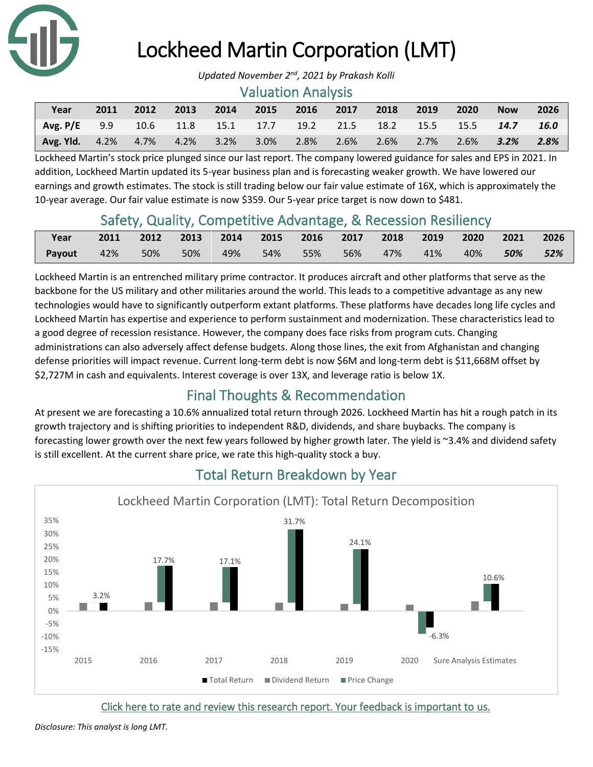

# Lockheed Martin Corporation (LMT)

#### Valuation Analysis

| Year                                                                | 2011 | 2012 |  | 2013 2014 2015 2016 2017 2018 2019 |  |                                 | $\sqrt{2020}$ | <b>Now</b> | 2026 |
|---------------------------------------------------------------------|------|------|--|------------------------------------|--|---------------------------------|---------------|------------|------|
| Avg. P/E 9.9 10.6 11.8 15.1 17.7 19.2 21.5 18.2 15.5 15.5 14.7 16.0 |      |      |  |                                    |  |                                 |               |            |      |
| <b>Avg. Yid.</b> $4.2\%$ $4.7\%$ $4.2\%$ $3.2\%$ $3.0\%$ $2.8\%$    |      |      |  |                                    |  | 2.6% 2.6% 2.7% 2.6% <b>3.2%</b> |               |            | 2.8% |

Lockheed Martin's stock price plunged since our last report. The company lowered guidance for sales and EPS in 2021. In addition, Lockheed Martin updated its 5-year business plan and is forecasting weaker growth. We have lowered our earnings and growth estimates. The stock is still trading below our fair value estimate of 16X, which is approximately the 10-year average. Our fair value estimate is now \$359. Our 5-year price target is now down to \$481.

## Safety, Quality, Competitive Advantage, & Recession Resiliency

| Year                                                          | 2011 2012 2013 2014 2015 2016 2017 2018 2019 2020 2021 2026 |  |  |  |  |  |
|---------------------------------------------------------------|-------------------------------------------------------------|--|--|--|--|--|
| <b>Payout</b> 42% 50% 50% 49% 54% 55% 56% 47% 41% 40% 50% 52% |                                                             |  |  |  |  |  |

Lockheed Martin is an entrenched military prime contractor. It produces aircraft and other platforms that serve as the backbone for the US military and other militaries around the world. This leads to a competitive advantage as any new technologies would have to significantly outperform extant platforms. These platforms have decades long life cycles and Lockheed Martin has expertise and experience to perform sustainment and modernization. These characteristics lead to a good degree of recession resistance. However, the company does face risks from program cuts. Changing administrations can also adversely affect defense budgets. Along those lines, the exit from Afghanistan and changing defense priorities will impact revenue. Current long-term debt is now \$6M and long-term debt is \$11,668M offset by \$2,727M in cash and equivalents. Interest coverage is over 13X, and leverage ratio is below 1X.

## Final Thoughts & Recommendation

At present we are forecasting a 10.6% annualized total return through 2026. Lockheed Martin has hit a rough patch in its growth trajectory and is shifting priorities to independent R&D, dividends, and share buybacks. The company is forecasting lower growth over the next few years followed by higher growth later. The yield is ~3.4% and dividend safety is still excellent. At the current share price, we rate this high-quality stock a buy.



## Total Return Breakdown by Year

[Click here to rate and review this research report. Your feedback is important to us.](https://suredividend.typeform.com/to/pOfbkh) 

*Disclosure: This analyst is long LMT.*

*Updated November 2nd, 2021 by Prakash Kolli*